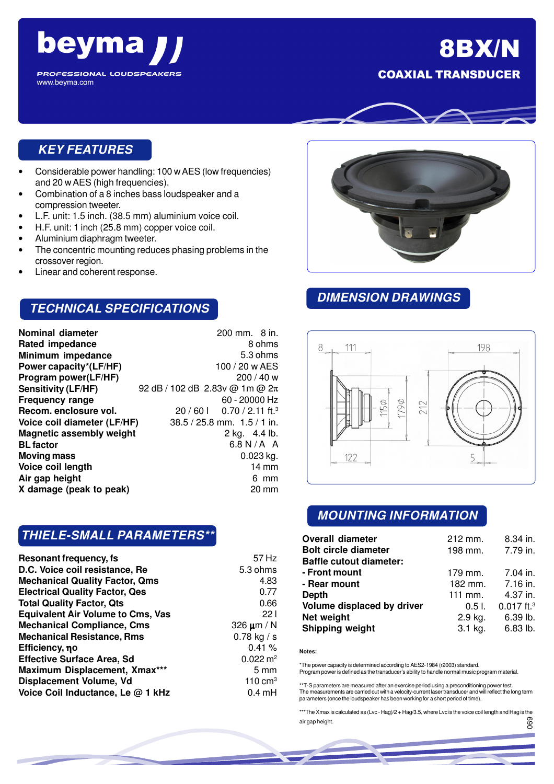

# 8BX/N COAXIAL TRANSDUCER



## **KEY FEATURES**

- Considerable power handling: 100 w AES (low frequencies) and 20 w AES (high frequencies).
- Combination of a 8 inches bass loudspeaker and a compression tweeter.
- L.F. unit: 1.5 inch. (38.5 mm) aluminium voice coil.
- H.F. unit: 1 inch (25.8 mm) copper voice coil.
- Aluminium diaphragm tweeter.
- The concentric mounting reduces phasing problems in the crossover region.
- Linear and coherent response.

#### **TECHNICAL SPECIFICATIONS**

| Nominal diameter                | 200 mm. 8 in.                         |
|---------------------------------|---------------------------------------|
| <b>Rated impedance</b>          | 8 ohms                                |
| Minimum impedance               | 5.3 ohms                              |
| Power capacity*(LF/HF)          | 100 / 20 w AES                        |
| Program power(LF/HF)            | 200/40 w                              |
| <b>Sensitivity (LF/HF)</b>      | 92 dB / 102 dB 2.83v @ 1m @ 2π        |
| Frequency range                 | 60 - 20000 Hz                         |
| Recom. enclosure vol.           | $20/601$ 0.70 / 2.11 ft. <sup>3</sup> |
| Voice coil diameter (LF/HF)     | $38.5 / 25.8$ mm. $1.5 / 1$ in.       |
| <b>Magnetic assembly weight</b> | 2 kg. 4.4 lb.                         |
| <b>BL factor</b>                | $6.8 N/A$ A                           |
| <b>Moving mass</b>              | $0.023$ kg.                           |
| Voice coil length               | $14 \, \text{mm}$                     |
| Air gap height                  | 6 mm                                  |
| X damage (peak to peak)         | 20 mm                                 |
|                                 |                                       |

### **THIELE-SMALL PARAMETERS\*\***

| Resonant frequency, fs                   | 57 Hz                 |
|------------------------------------------|-----------------------|
| D.C. Voice coil resistance, Re           | 5.3 ohms              |
| <b>Mechanical Quality Factor, Qms</b>    | 4.83                  |
| <b>Electrical Quality Factor, Qes</b>    | 0.77                  |
| <b>Total Quality Factor, Qts</b>         | 0.66                  |
| <b>Equivalent Air Volume to Cms, Vas</b> | 221                   |
| <b>Mechanical Compliance, Cms</b>        | 326 $\mu$ m / N       |
| <b>Mechanical Resistance, Rms</b>        | $0.78$ kg / s         |
| Efficiency, η ο                          | 0.41%                 |
| <b>Effective Surface Area, Sd</b>        | $0.022 \, \text{m}^2$ |
| Maximum Displacement, Xmax***            | $5 \text{ mm}$        |
| Displacement Volume, Vd                  | 110 cm <sup>3</sup>   |
| Voice Coil Inductance, Le @ 1 kHz        | $0.4 \text{ mH}$      |



## **DIMENSION DRAWINGS**



### **MOUNTING INFORMATION**

| <b>Overall diameter</b>        | $212$ mm. | 8.34 in.                 |
|--------------------------------|-----------|--------------------------|
| <b>Bolt circle diameter</b>    | 198 mm.   | 7.79 in.                 |
| <b>Baffle cutout diameter:</b> |           |                          |
| - Front mount                  | 179 mm.   | 7.04 in.                 |
| - Rear mount                   | 182 mm.   | 7.16 in.                 |
| Depth                          | $111$ mm. | 4.37 in.                 |
| Volume displaced by driver     | $0.51$ .  | $0.017$ ft. <sup>3</sup> |
| Net weight                     | 2.9 kg.   | 6.39 lb.                 |
| Shipping weight                | $3.1$ kg. | 6.83 lb.                 |

#### **Notes:**

\*The power capacity is determined according to AES2-1984 (r2003) standard. Program power is defined as the transducer's ability to handle normal music program material.

\*\*T-S parameters are measured after an exercise period using a preconditioning power test. The measurements are carried out with a velocity-current laser transducer and will reflect the long term parameters (once the loudspeaker has been working for a short period of time).

\*\*\*The Xmax is calculated as (Lvc - Hag)/2 + Hag/3.5, where Lvc is the voice coil length and Hag is the air gap height. 069

056